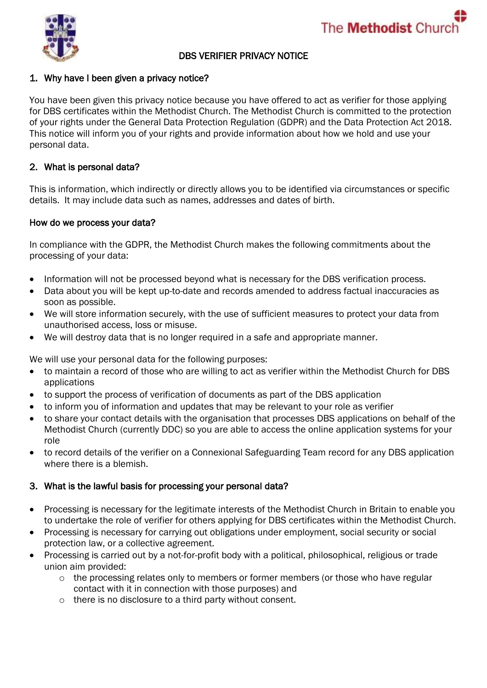



### DBS VERIFIER PRIVACY NOTICE

### 1. Why have I been given a privacy notice?

You have been given this privacy notice because you have offered to act as verifier for those applying for DBS certificates within the Methodist Church. The Methodist Church is committed to the protection of your rights under the General Data Protection Regulation (GDPR) and the Data Protection Act 2018. This notice will inform you of your rights and provide information about how we hold and use your personal data.

### 2. What is personal data?

This is information, which indirectly or directly allows you to be identified via circumstances or specific details. It may include data such as names, addresses and dates of birth.

#### How do we process your data?

In compliance with the GDPR, the Methodist Church makes the following commitments about the processing of your data:

- Information will not be processed beyond what is necessary for the DBS verification process.
- Data about you will be kept up-to-date and records amended to address factual inaccuracies as soon as possible.
- We will store information securely, with the use of sufficient measures to protect your data from unauthorised access, loss or misuse.
- We will destroy data that is no longer required in a safe and appropriate manner.

We will use your personal data for the following purposes:

- to maintain a record of those who are willing to act as verifier within the Methodist Church for DBS applications
- to support the process of verification of documents as part of the DBS application
- to inform you of information and updates that may be relevant to your role as verifier
- to share your contact details with the organisation that processes DBS applications on behalf of the Methodist Church (currently DDC) so you are able to access the online application systems for your role
- to record details of the verifier on a Connexional Safeguarding Team record for any DBS application where there is a blemish.

#### 3. What is the lawful basis for processing your personal data?

- Processing is necessary for the legitimate interests of the Methodist Church in Britain to enable you to undertake the role of verifier for others applying for DBS certificates within the Methodist Church.
- Processing is necessary for carrying out obligations under employment, social security or social protection law, or a collective agreement.
- Processing is carried out by a not-for-profit body with a political, philosophical, religious or trade union aim provided:
	- $\circ$  the processing relates only to members or former members (or those who have regular contact with it in connection with those purposes) and
	- o there is no disclosure to a third party without consent.